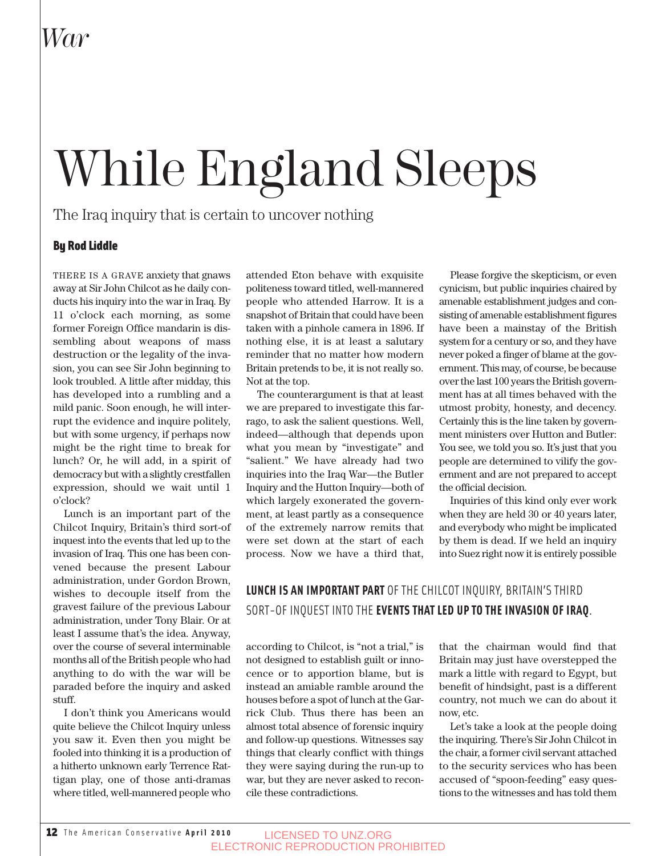# While England Sleeps

The Iraq inquiry that is certain to uncover nothing

#### By Rod Liddle

THERE IS A GRAVE anxiety that gnaws away at Sir John Chilcot as he daily conducts his inquiry into the war in Iraq. By 11 o'clock each morning, as some former Foreign Office mandarin is dissembling about weapons of mass destruction or the legality of the invasion, you can see Sir John beginning to look troubled. A little after midday, this has developed into a rumbling and a mild panic. Soon enough, he will interrupt the evidence and inquire politely, but with some urgency, if perhaps now might be the right time to break for lunch? Or, he will add, in a spirit of democracy but with a slightly crestfallen expression, should we wait until 1 o'clock?

Lunch is an important part of the Chilcot Inquiry, Britain's third sort-of inquest into the events that led up to the invasion of Iraq. This one has been convened because the present Labour administration, under Gordon Brown, wishes to decouple itself from the gravest failure of the previous Labour administration, under Tony Blair. Or at least I assume that's the idea. Anyway, over the course of several interminable months all of the British people who had anything to do with the war will be paraded before the inquiry and asked stuff.

I don't think you Americans would quite believe the Chilcot Inquiry unless you saw it. Even then you might be fooled into thinking it is a production of a hitherto unknown early Terrence Rattigan play, one of those anti-dramas where titled, well-mannered people who

attended Eton behave with exquisite politeness toward titled, well-mannered people who attended Harrow. It is a snapshot of Britain that could have been taken with a pinhole camera in 1896. If nothing else, it is at least a salutary reminder that no matter how modern Britain pretends to be, it is not really so. Not at the top.

The counterargument is that at least we are prepared to investigate this farrago, to ask the salient questions. Well, indeed—although that depends upon what you mean by "investigate" and "salient." We have already had two inquiries into the Iraq War—the Butler Inquiry and the Hutton Inquiry—both of which largely exonerated the government, at least partly as a consequence of the extremely narrow remits that were set down at the start of each process. Now we have a third that,

Please forgive the skepticism, or even cynicism, but public inquiries chaired by amenable establishment judges and consisting of amenable establishment figures have been a mainstay of the British system for a century or so, and they have never poked a finger of blame at the government. This may, of course, be because over the last 100 years the British government has at all times behaved with the utmost probity, honesty, and decency. Certainly this is the line taken by government ministers over Hutton and Butler: You see, we told you so. It's just that you people are determined to vilify the government and are not prepared to accept the official decision.

Inquiries of this kind only ever work when they are held 30 or 40 years later, and everybody who might be implicated by them is dead. If we held an inquiry into Suez right now it is entirely possible

### **LUNCH IS AN IMPORTANT PART** OF THE CHILCOT INQUIRY, BRITAIN'S THIRD SORT-OF INQUEST INTO THE **EVENTS THAT LED UP TO THE INVASION OF IRAQ**.

according to Chilcot, is "not a trial," is not designed to establish guilt or innocence or to apportion blame, but is instead an amiable ramble around the houses before a spot of lunch at the Garrick Club. Thus there has been an almost total absence of forensic inquiry and follow-up questions. Witnesses say things that clearly conflict with things they were saying during the run-up to war, but they are never asked to reconcile these contradictions.

that the chairman would find that Britain may just have overstepped the mark a little with regard to Egypt, but benefit of hindsight, past is a different country, not much we can do about it now, etc.

Let's take a look at the people doing the inquiring. There's Sir John Chilcot in the chair, a former civil servant attached to the security services who has been accused of "spoon-feeding" easy questions to the witnesses and has told them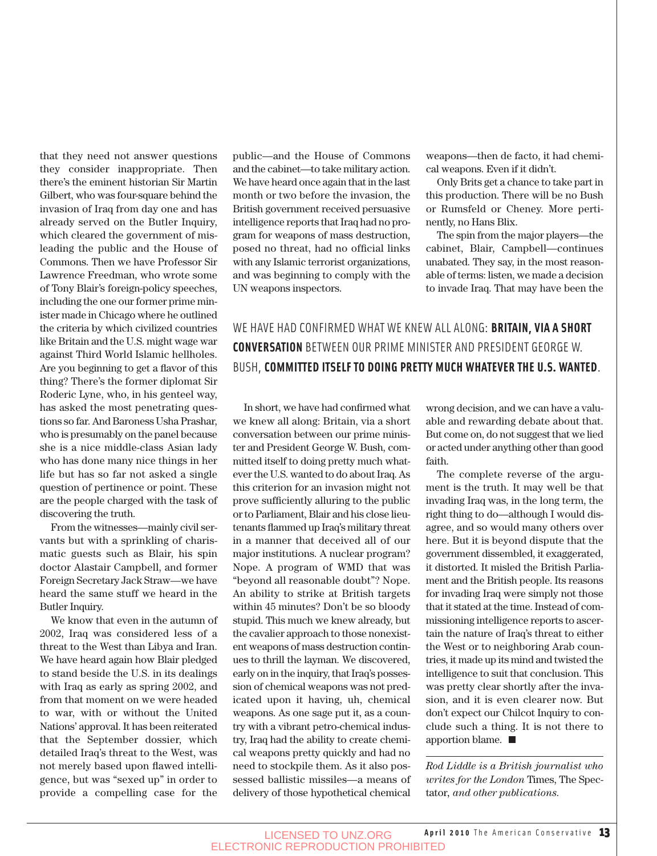that they need not answer questions they consider inappropriate. Then there's the eminent historian Sir Martin Gilbert, who was four-square behind the invasion of Iraq from day one and has already served on the Butler Inquiry, which cleared the government of misleading the public and the House of Commons. Then we have Professor Sir Lawrence Freedman, who wrote some of Tony Blair's foreign-policy speeches, including the one our former prime minister made in Chicago where he outlined the criteria by which civilized countries like Britain and the U.S. might wage war against Third World Islamic hellholes. Are you beginning to get a flavor of this thing? There's the former diplomat Sir Roderic Lyne, who, in his genteel way, has asked the most penetrating questions so far. And Baroness Usha Prashar, who is presumably on the panel because she is a nice middle-class Asian lady who has done many nice things in her life but has so far not asked a single question of pertinence or point. These are the people charged with the task of discovering the truth.

From the witnesses—mainly civil servants but with a sprinkling of charismatic guests such as Blair, his spin doctor Alastair Campbell, and former Foreign Secretary Jack Straw—we have heard the same stuff we heard in the Butler Inquiry.

We know that even in the autumn of 2002, Iraq was considered less of a threat to the West than Libya and Iran. We have heard again how Blair pledged to stand beside the U.S. in its dealings with Iraq as early as spring 2002, and from that moment on we were headed to war, with or without the United Nations' approval. It has been reiterated that the September dossier, which detailed Iraq's threat to the West, was not merely based upon flawed intelligence, but was "sexed up" in order to provide a compelling case for the

public—and the House of Commons and the cabinet—to take military action. We have heard once again that in the last month or two before the invasion, the British government received persuasive intelligence reports that Iraq had no program for weapons of mass destruction, posed no threat, had no official links with any Islamic terrorist organizations, and was beginning to comply with the UN weapons inspectors.

weapons—then de facto, it had chemical weapons. Even if it didn't.

Only Brits get a chance to take part in this production. There will be no Bush or Rumsfeld or Cheney. More pertinently, no Hans Blix.

The spin from the major players—the cabinet, Blair, Campbell—continues unabated. They say, in the most reasonable of terms: listen, we made a decision to invade Iraq. That may have been the

### WE HAVE HAD CONFIRMED WHAT WE KNEW ALL ALONG: **BRITAIN, VIA A SHORT CONVERSATION** BETWEEN OUR PRIME MINISTER AND PRESIDENT GEORGE W. BUSH, **COMMITTED ITSELF TO DOING PRETTY MUCH WHATEVER THE U.S. WANTED**.

In short, we have had confirmed what we knew all along: Britain, via a short conversation between our prime minister and President George W. Bush, committed itself to doing pretty much whatever the U.S. wanted to do about Iraq. As this criterion for an invasion might not prove sufficiently alluring to the public or to Parliament, Blair and his close lieutenants flammed up Iraq's military threat in a manner that deceived all of our major institutions. A nuclear program? Nope. A program of WMD that was "beyond all reasonable doubt"? Nope. An ability to strike at British targets within 45 minutes? Don't be so bloody stupid. This much we knew already, but the cavalier approach to those nonexistent weapons of mass destruction continues to thrill the layman. We discovered, early on in the inquiry, that Iraq's possession of chemical weapons was not predicated upon it having, uh, chemical weapons. As one sage put it, as a country with a vibrant petro-chemical industry, Iraq had the ability to create chemical weapons pretty quickly and had no need to stockpile them. As it also possessed ballistic missiles—a means of delivery of those hypothetical chemical wrong decision, and we can have a valuable and rewarding debate about that. But come on, do not suggest that we lied or acted under anything other than good faith.

The complete reverse of the argument is the truth. It may well be that invading Iraq was, in the long term, the right thing to do—although I would disagree, and so would many others over here. But it is beyond dispute that the government dissembled, it exaggerated, it distorted. It misled the British Parliament and the British people. Its reasons for invading Iraq were simply not those that it stated at the time. Instead of commissioning intelligence reports to ascertain the nature of Iraq's threat to either the West or to neighboring Arab countries, it made up its mind and twisted the intelligence to suit that conclusion. This was pretty clear shortly after the invasion, and it is even clearer now. But don't expect our Chilcot Inquiry to conclude such a thing. It is not there to apportion blame.

*Rod Liddle is a British journalist who writes for the London* Times, The Spectator*, and other publications.*